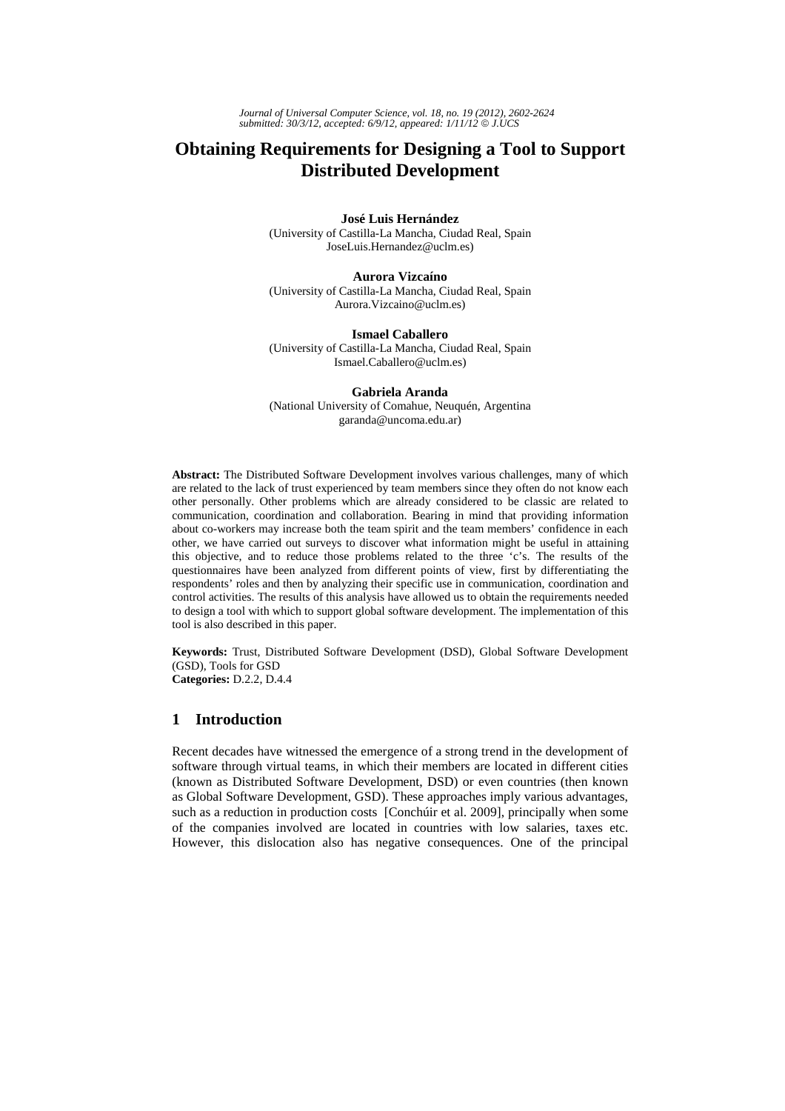# **Obtaining Requirements for Designing a Tool to Support Distributed Development**

**José Luis Hernández**  (University of Castilla-La Mancha, Ciudad Real, Spain JoseLuis.Hernandez@uclm.es)

**Aurora Vizcaíno**  (University of Castilla-La Mancha, Ciudad Real, Spain Aurora.Vizcaino@uclm.es)

**Ismael Caballero**  (University of Castilla-La Mancha, Ciudad Real, Spain Ismael.Caballero@uclm.es)

**Gabriela Aranda**  (National University of Comahue, Neuquén, Argentina garanda@uncoma.edu.ar)

**Abstract:** The Distributed Software Development involves various challenges, many of which are related to the lack of trust experienced by team members since they often do not know each other personally. Other problems which are already considered to be classic are related to communication, coordination and collaboration. Bearing in mind that providing information about co-workers may increase both the team spirit and the team members' confidence in each other, we have carried out surveys to discover what information might be useful in attaining this objective, and to reduce those problems related to the three 'c's. The results of the questionnaires have been analyzed from different points of view, first by differentiating the respondents' roles and then by analyzing their specific use in communication, coordination and control activities. The results of this analysis have allowed us to obtain the requirements needed to design a tool with which to support global software development. The implementation of this tool is also described in this paper.

**Keywords:** Trust, Distributed Software Development (DSD), Global Software Development (GSD), Tools for GSD **Categories:** D.2.2, D.4.4

# **1 Introduction**

Recent decades have witnessed the emergence of a strong trend in the development of software through virtual teams, in which their members are located in different cities (known as Distributed Software Development, DSD) or even countries (then known as Global Software Development, GSD). These approaches imply various advantages, such as a reduction in production costs [Conchúir et al. 2009], principally when some of the companies involved are located in countries with low salaries, taxes etc. However, this dislocation also has negative consequences. One of the principal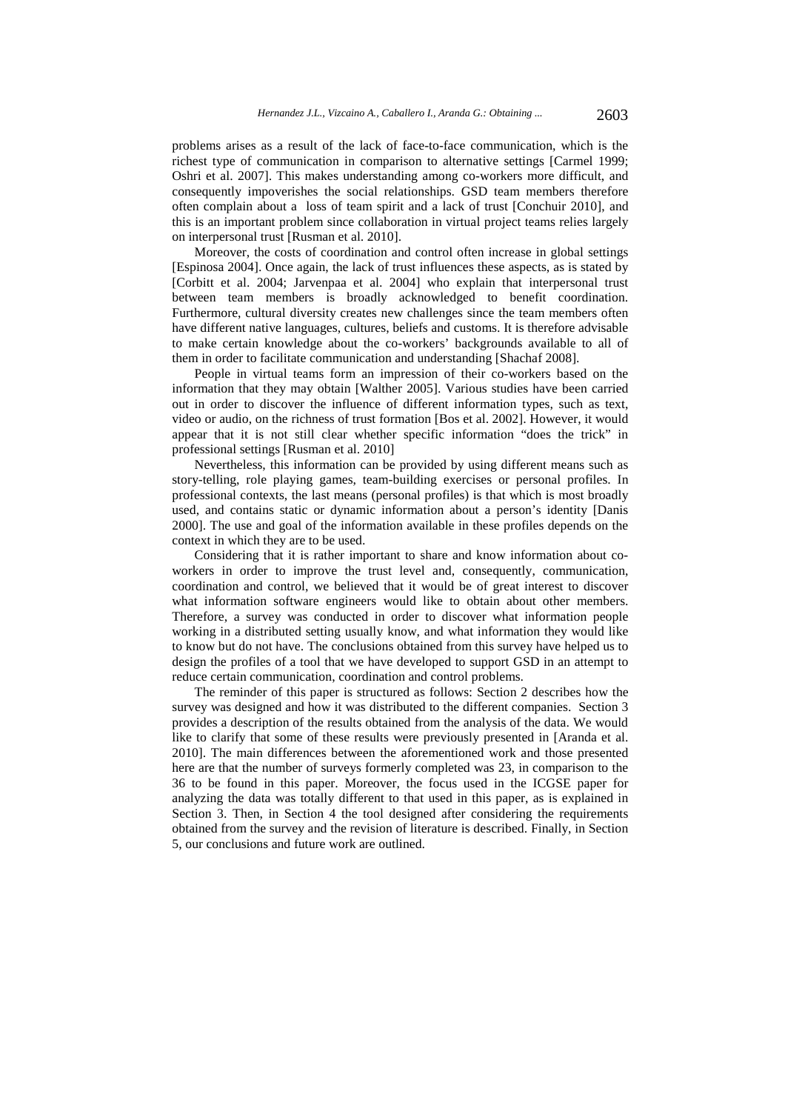problems arises as a result of the lack of face-to-face communication, which is the richest type of communication in comparison to alternative settings [Carmel 1999; Oshri et al. 2007]. This makes understanding among co-workers more difficult, and consequently impoverishes the social relationships. GSD team members therefore often complain about a loss of team spirit and a lack of trust [Conchuir 2010], and this is an important problem since collaboration in virtual project teams relies largely on interpersonal trust [Rusman et al. 2010].

Moreover, the costs of coordination and control often increase in global settings [Espinosa 2004]. Once again, the lack of trust influences these aspects, as is stated by [Corbitt et al. 2004; Jarvenpaa et al. 2004] who explain that interpersonal trust between team members is broadly acknowledged to benefit coordination. Furthermore, cultural diversity creates new challenges since the team members often have different native languages, cultures, beliefs and customs. It is therefore advisable to make certain knowledge about the co-workers' backgrounds available to all of them in order to facilitate communication and understanding [Shachaf 2008].

People in virtual teams form an impression of their co-workers based on the information that they may obtain [Walther 2005]. Various studies have been carried out in order to discover the influence of different information types, such as text, video or audio, on the richness of trust formation [Bos et al. 2002]. However, it would appear that it is not still clear whether specific information "does the trick" in professional settings [Rusman et al. 2010]

Nevertheless, this information can be provided by using different means such as story-telling, role playing games, team-building exercises or personal profiles. In professional contexts, the last means (personal profiles) is that which is most broadly used, and contains static or dynamic information about a person's identity [Danis 2000]. The use and goal of the information available in these profiles depends on the context in which they are to be used.

Considering that it is rather important to share and know information about coworkers in order to improve the trust level and, consequently, communication, coordination and control, we believed that it would be of great interest to discover what information software engineers would like to obtain about other members. Therefore, a survey was conducted in order to discover what information people working in a distributed setting usually know, and what information they would like to know but do not have. The conclusions obtained from this survey have helped us to design the profiles of a tool that we have developed to support GSD in an attempt to reduce certain communication, coordination and control problems.

The reminder of this paper is structured as follows: Section 2 describes how the survey was designed and how it was distributed to the different companies. Section 3 provides a description of the results obtained from the analysis of the data. We would like to clarify that some of these results were previously presented in [Aranda et al. 2010]. The main differences between the aforementioned work and those presented here are that the number of surveys formerly completed was 23, in comparison to the 36 to be found in this paper. Moreover, the focus used in the ICGSE paper for analyzing the data was totally different to that used in this paper, as is explained in Section 3. Then, in Section 4 the tool designed after considering the requirements obtained from the survey and the revision of literature is described. Finally, in Section 5, our conclusions and future work are outlined.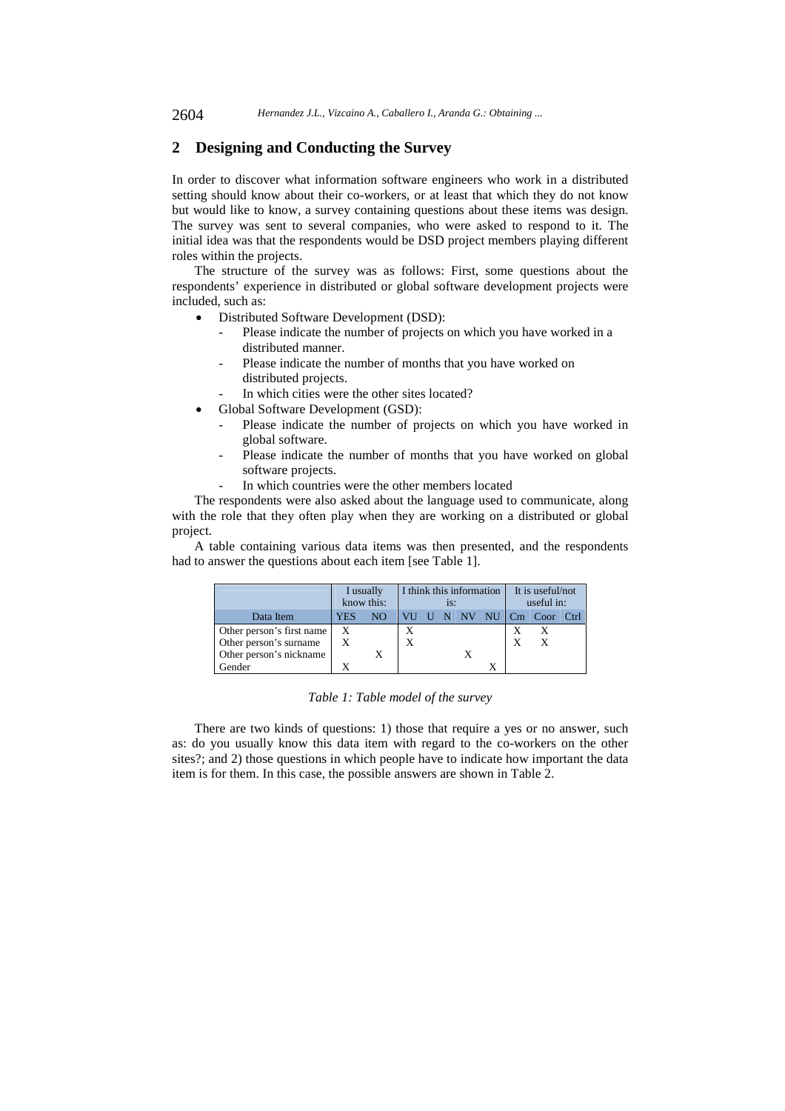# **2 Designing and Conducting the Survey**

In order to discover what information software engineers who work in a distributed setting should know about their co-workers, or at least that which they do not know but would like to know, a survey containing questions about these items was design. The survey was sent to several companies, who were asked to respond to it. The initial idea was that the respondents would be DSD project members playing different roles within the projects.

The structure of the survey was as follows: First, some questions about the respondents' experience in distributed or global software development projects were included, such as:

- Distributed Software Development (DSD):
	- Please indicate the number of projects on which you have worked in a distributed manner.
	- Please indicate the number of months that you have worked on distributed projects.
	- In which cities were the other sites located?
- Global Software Development (GSD):
	- Please indicate the number of projects on which you have worked in global software.
	- Please indicate the number of months that you have worked on global software projects.
	- In which countries were the other members located

The respondents were also asked about the language used to communicate, along with the role that they often play when they are working on a distributed or global project.

A table containing various data items was then presented, and the respondents had to answer the questions about each item [see Table 1].

|                           | I usually<br>know this:   | I think this information<br>is: |  |  |  | It is useful/not<br>useful in: |   |                           |  |
|---------------------------|---------------------------|---------------------------------|--|--|--|--------------------------------|---|---------------------------|--|
| Data Item                 | YES                       | NO.                             |  |  |  |                                |   | VU U N NV NU Cm Coor Ctrl |  |
| Other person's first name | $\boldsymbol{\mathrm{X}}$ |                                 |  |  |  |                                |   |                           |  |
| Other person's surname    | X                         |                                 |  |  |  |                                | X |                           |  |
| Other person's nickname   |                           |                                 |  |  |  |                                |   |                           |  |
| Gender                    |                           |                                 |  |  |  |                                |   |                           |  |

### *Table 1: Table model of the survey*

There are two kinds of questions: 1) those that require a yes or no answer, such as: do you usually know this data item with regard to the co-workers on the other sites?; and 2) those questions in which people have to indicate how important the data item is for them. In this case, the possible answers are shown in Table 2.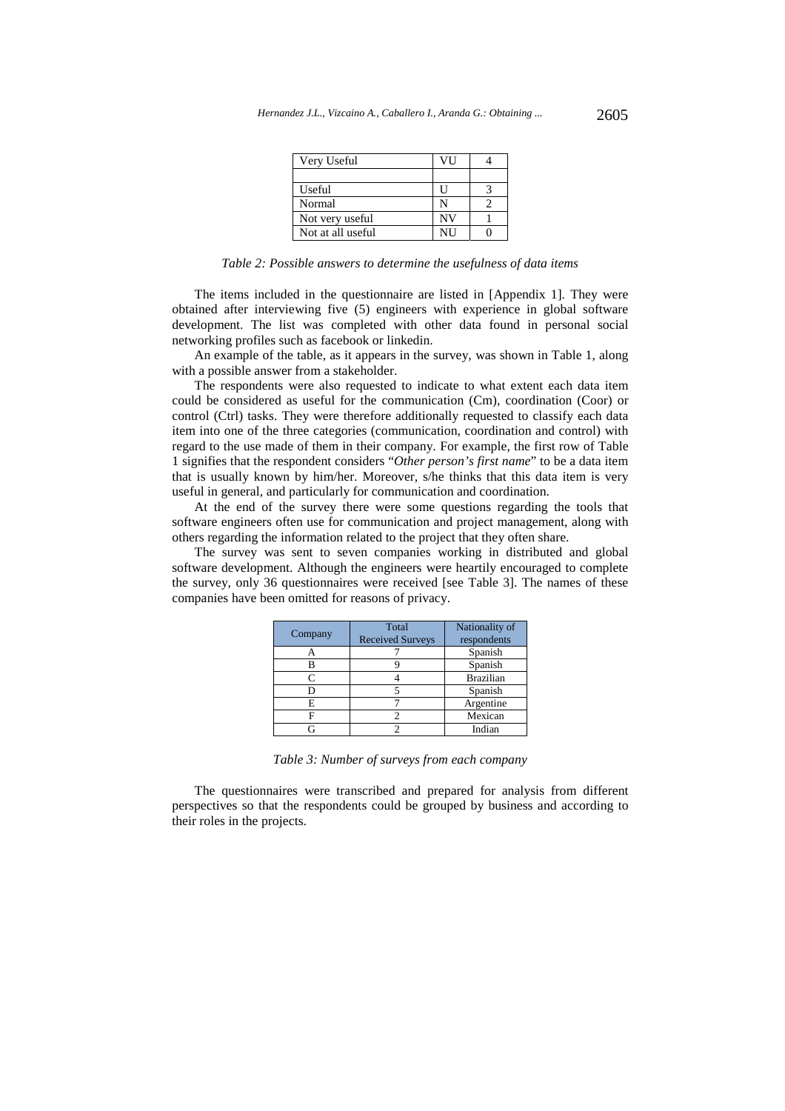| Hernandez J.L., Vizcaino A., Caballero I., Aranda G.: Obtaining | 2605 |
|-----------------------------------------------------------------|------|
|-----------------------------------------------------------------|------|

| Very Useful       | VH |  |
|-------------------|----|--|
|                   |    |  |
| Useful            |    |  |
| Normal            |    |  |
| Not very useful   | NV |  |
| Not at all useful | NH |  |

*Table 2: Possible answers to determine the usefulness of data items* 

The items included in the questionnaire are listed in [Appendix 1]. They were obtained after interviewing five (5) engineers with experience in global software development. The list was completed with other data found in personal social networking profiles such as facebook or linkedin.

An example of the table, as it appears in the survey, was shown in Table 1, along with a possible answer from a stakeholder.

The respondents were also requested to indicate to what extent each data item could be considered as useful for the communication (Cm), coordination (Coor) or control (Ctrl) tasks. They were therefore additionally requested to classify each data item into one of the three categories (communication, coordination and control) with regard to the use made of them in their company. For example, the first row of Table 1 signifies that the respondent considers "*Other person's first name*" to be a data item that is usually known by him/her. Moreover, s/he thinks that this data item is very useful in general, and particularly for communication and coordination.

At the end of the survey there were some questions regarding the tools that software engineers often use for communication and project management, along with others regarding the information related to the project that they often share.

The survey was sent to seven companies working in distributed and global software development. Although the engineers were heartily encouraged to complete the survey, only 36 questionnaires were received [see Table 3]. The names of these companies have been omitted for reasons of privacy.

| Company | Total<br><b>Received Surveys</b> | Nationality of<br>respondents |  |  |
|---------|----------------------------------|-------------------------------|--|--|
|         |                                  | Spanish                       |  |  |
|         |                                  | Spanish                       |  |  |
|         |                                  | <b>Brazilian</b>              |  |  |
|         |                                  | Spanish                       |  |  |
| F.      |                                  | Argentine                     |  |  |
|         |                                  | Mexican                       |  |  |
|         |                                  | Indian                        |  |  |

*Table 3: Number of surveys from each company* 

The questionnaires were transcribed and prepared for analysis from different perspectives so that the respondents could be grouped by business and according to their roles in the projects.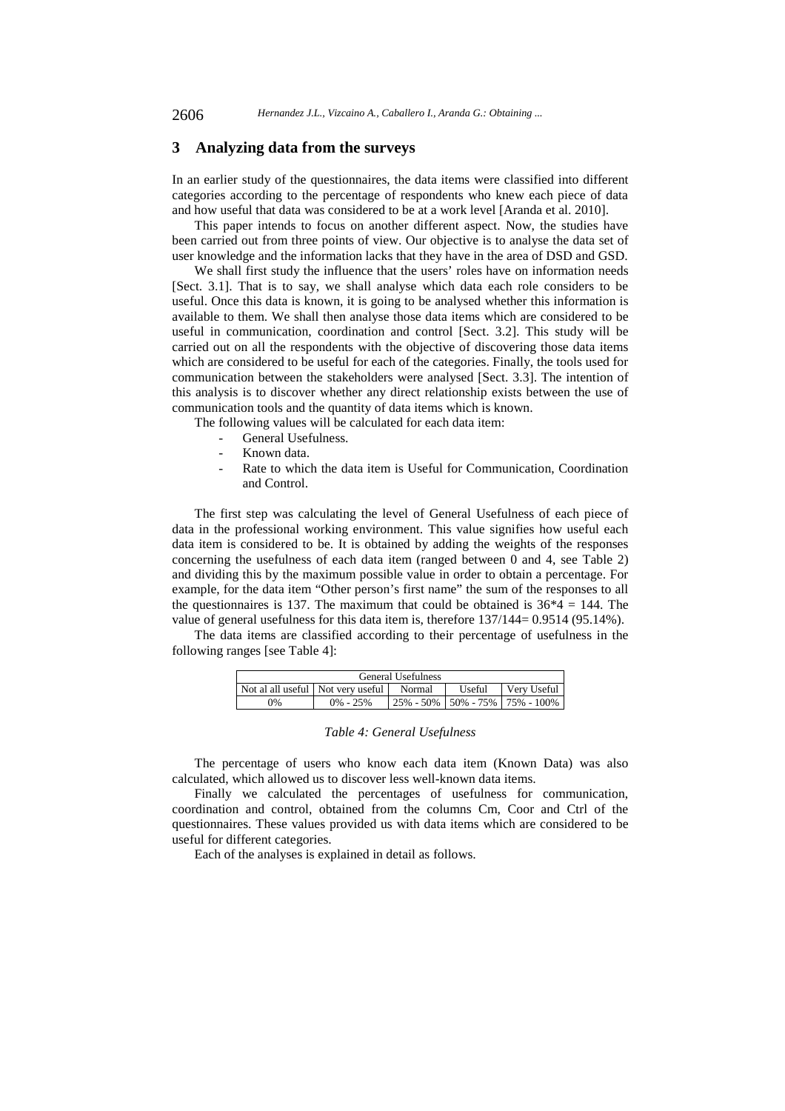## **3 Analyzing data from the surveys**

In an earlier study of the questionnaires, the data items were classified into different categories according to the percentage of respondents who knew each piece of data and how useful that data was considered to be at a work level [Aranda et al. 2010].

This paper intends to focus on another different aspect. Now, the studies have been carried out from three points of view. Our objective is to analyse the data set of user knowledge and the information lacks that they have in the area of DSD and GSD.

We shall first study the influence that the users' roles have on information needs [Sect. 3.1]. That is to say, we shall analyse which data each role considers to be useful. Once this data is known, it is going to be analysed whether this information is available to them. We shall then analyse those data items which are considered to be useful in communication, coordination and control [Sect. 3.2]. This study will be carried out on all the respondents with the objective of discovering those data items which are considered to be useful for each of the categories. Finally, the tools used for communication between the stakeholders were analysed [Sect. 3.3]. The intention of this analysis is to discover whether any direct relationship exists between the use of communication tools and the quantity of data items which is known.

The following values will be calculated for each data item:

- General Usefulness.
- Known data.
- Rate to which the data item is Useful for Communication, Coordination and Control.

The first step was calculating the level of General Usefulness of each piece of data in the professional working environment. This value signifies how useful each data item is considered to be. It is obtained by adding the weights of the responses concerning the usefulness of each data item (ranged between 0 and 4, see Table 2) and dividing this by the maximum possible value in order to obtain a percentage. For example, for the data item "Other person's first name" the sum of the responses to all the questionnaires is 137. The maximum that could be obtained is  $36*4 = 144$ . The value of general usefulness for this data item is, therefore 137/144= 0.9514 (95.14%).

The data items are classified according to their percentage of usefulness in the following ranges [see Table 4]:

| <b>General Usefulness</b>         |              |        |        |                                             |  |  |
|-----------------------------------|--------------|--------|--------|---------------------------------------------|--|--|
| Not al all useful Not very useful |              | Normal | Useful | Very Useful                                 |  |  |
| 0%                                | $0\% - 25\%$ |        |        | $125\% - 50\% + 50\% - 75\% + 75\% - 100\%$ |  |  |

#### *Table 4: General Usefulness*

The percentage of users who know each data item (Known Data) was also calculated, which allowed us to discover less well-known data items.

Finally we calculated the percentages of usefulness for communication, coordination and control, obtained from the columns Cm, Coor and Ctrl of the questionnaires. These values provided us with data items which are considered to be useful for different categories.

Each of the analyses is explained in detail as follows.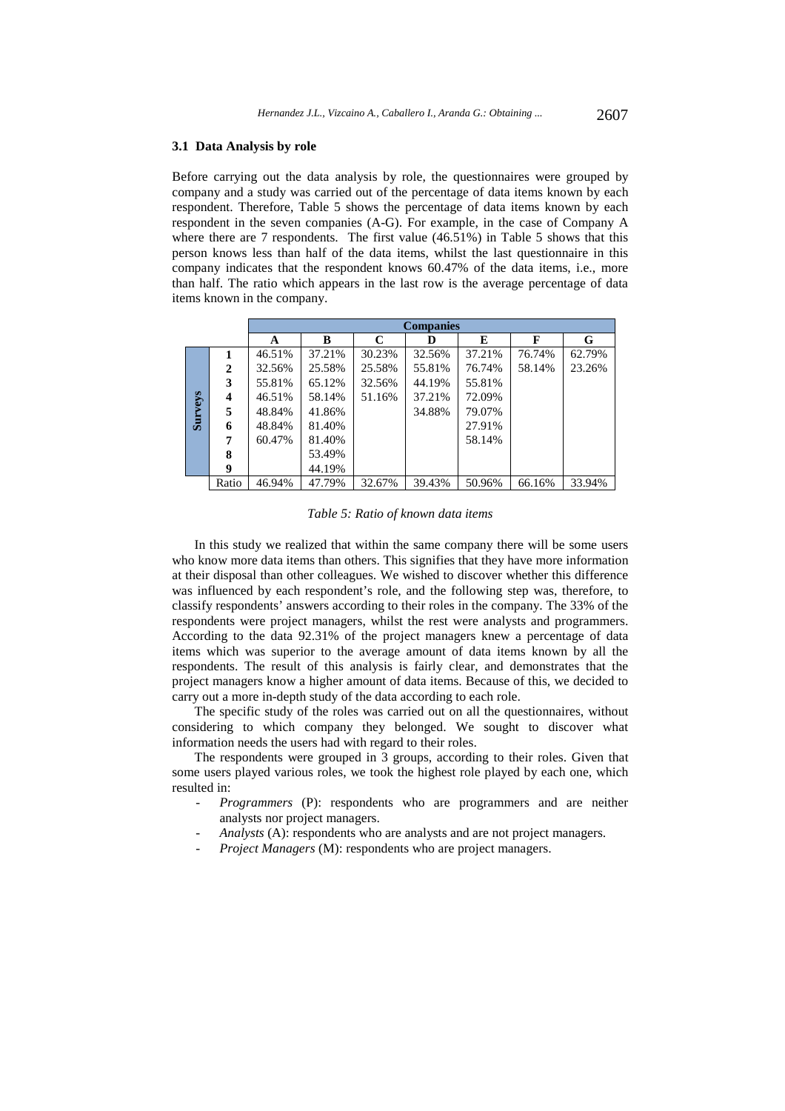#### **3.1 Data Analysis by role**

Before carrying out the data analysis by role, the questionnaires were grouped by company and a study was carried out of the percentage of data items known by each respondent. Therefore, Table 5 shows the percentage of data items known by each respondent in the seven companies (A-G). For example, in the case of Company A where there are 7 respondents. The first value (46.51%) in Table 5 shows that this person knows less than half of the data items, whilst the last questionnaire in this company indicates that the respondent knows 60.47% of the data items, i.e., more than half. The ratio which appears in the last row is the average percentage of data items known in the company.

|                |              | <b>Companies</b> |        |        |        |        |        |        |
|----------------|--------------|------------------|--------|--------|--------|--------|--------|--------|
|                |              | A                | B      | C      | D      | E      | F      | G      |
|                |              | 46.51%           | 37.21% | 30.23% | 32.56% | 37.21% | 76.74% | 62.79% |
|                | $\mathbf{2}$ | 32.56%           | 25.58% | 25.58% | 55.81% | 76.74% | 58.14% | 23.26% |
|                | 3            | 55.81%           | 65.12% | 32.56% | 44.19% | 55.81% |        |        |
|                | 4            | 46.51%           | 58.14% | 51.16% | 37.21% | 72.09% |        |        |
| <b>Surveys</b> | 5            | 48.84%           | 41.86% |        | 34.88% | 79.07% |        |        |
|                | 6            | 48.84%           | 81.40% |        |        | 27.91% |        |        |
|                | 7            | 60.47%           | 81.40% |        |        | 58.14% |        |        |
|                | 8            |                  | 53.49% |        |        |        |        |        |
|                | 9            |                  | 44.19% |        |        |        |        |        |
|                | Ratio        | 46.94%           | 47.79% | 32.67% | 39.43% | 50.96% | 66.16% | 33.94% |

*Table 5: Ratio of known data items* 

In this study we realized that within the same company there will be some users who know more data items than others. This signifies that they have more information at their disposal than other colleagues. We wished to discover whether this difference was influenced by each respondent's role, and the following step was, therefore, to classify respondents' answers according to their roles in the company. The 33% of the respondents were project managers, whilst the rest were analysts and programmers. According to the data 92.31% of the project managers knew a percentage of data items which was superior to the average amount of data items known by all the respondents. The result of this analysis is fairly clear, and demonstrates that the project managers know a higher amount of data items. Because of this, we decided to carry out a more in-depth study of the data according to each role.

The specific study of the roles was carried out on all the questionnaires, without considering to which company they belonged. We sought to discover what information needs the users had with regard to their roles.

The respondents were grouped in 3 groups, according to their roles. Given that some users played various roles, we took the highest role played by each one, which resulted in:

- *Programmers* (P): respondents who are programmers and are neither analysts nor project managers.
- *Analysts* (A): respondents who are analysts and are not project managers.
- *Project Managers* (M): respondents who are project managers.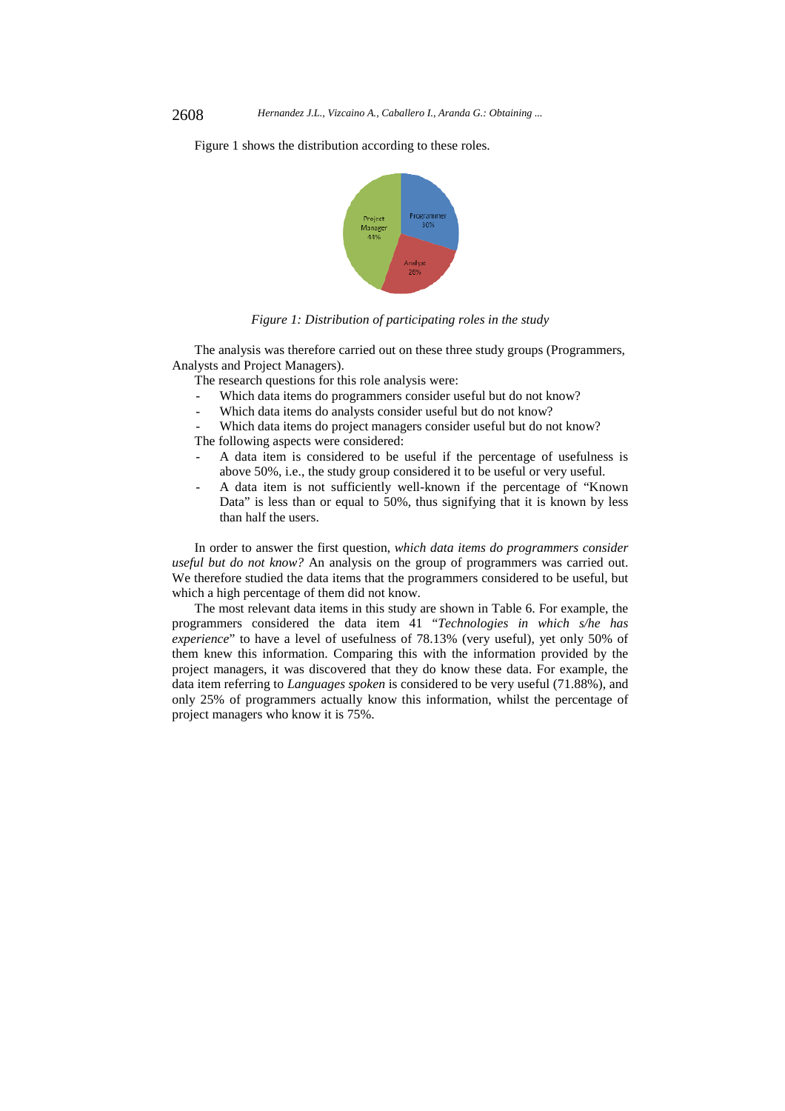Figure 1 shows the distribution according to these roles.



*Figure 1: Distribution of participating roles in the study* 

The analysis was therefore carried out on these three study groups (Programmers, Analysts and Project Managers).

The research questions for this role analysis were:

- Which data items do programmers consider useful but do not know?
- Which data items do analysts consider useful but do not know?
- Which data items do project managers consider useful but do not know?

The following aspects were considered:

- A data item is considered to be useful if the percentage of usefulness is above 50%, i.e., the study group considered it to be useful or very useful.
- A data item is not sufficiently well-known if the percentage of "Known Data" is less than or equal to 50%, thus signifying that it is known by less than half the users.

In order to answer the first question, *which data items do programmers consider useful but do not know?* An analysis on the group of programmers was carried out. We therefore studied the data items that the programmers considered to be useful, but which a high percentage of them did not know.

The most relevant data items in this study are shown in Table 6. For example, the programmers considered the data item 41 "*Technologies in which s/he has experience*" to have a level of usefulness of 78.13% (very useful), yet only 50% of them knew this information. Comparing this with the information provided by the project managers, it was discovered that they do know these data. For example, the data item referring to *Languages spoken* is considered to be very useful (71.88%), and only 25% of programmers actually know this information, whilst the percentage of project managers who know it is 75%.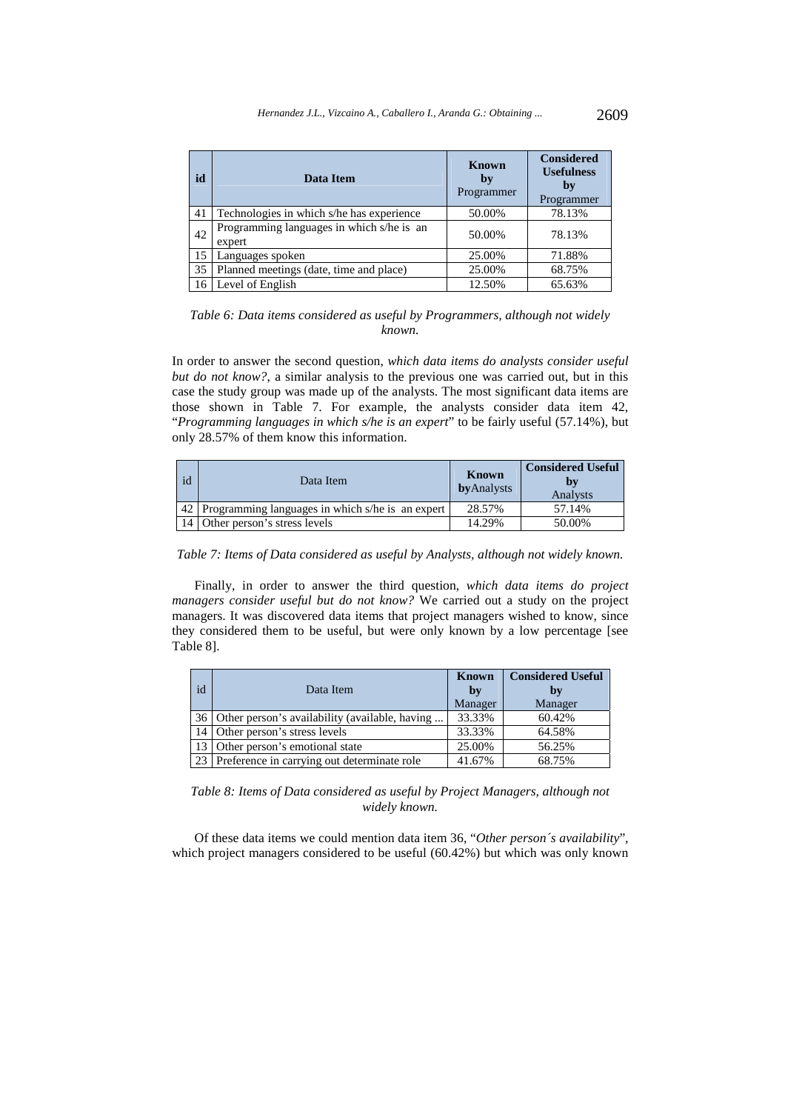| id | Data Item                                           | <b>Known</b><br>by<br>Programmer | <b>Considered</b><br><b>Usefulness</b><br>by<br>Programmer |
|----|-----------------------------------------------------|----------------------------------|------------------------------------------------------------|
| 41 | Technologies in which s/he has experience           | 50.00%                           | 78.13%                                                     |
| 42 | Programming languages in which s/he is an<br>expert | 50.00%                           | 78.13%                                                     |
| 15 | Languages spoken                                    | 25.00%                           | 71.88%                                                     |
| 35 | Planned meetings (date, time and place)             | 25.00%                           | 68.75%                                                     |
| 16 | Level of English                                    | 12.50%                           | 65.63%                                                     |

*Table 6: Data items considered as useful by Programmers, although not widely known.* 

In order to answer the second question, *which data items do analysts consider useful but do not know?*, a similar analysis to the previous one was carried out, but in this case the study group was made up of the analysts. The most significant data items are those shown in Table 7. For example, the analysts consider data item 42, "*Programming languages in which s/he is an expert*" to be fairly useful (57.14%), but only 28.57% of them know this information.

| id | Data Item                                        | Known<br><b>by</b> Analysts | <b>Considered Useful</b><br>bv<br>Analysts |
|----|--------------------------------------------------|-----------------------------|--------------------------------------------|
| 42 | Programming languages in which s/he is an expert | 28.57%                      | 57.14%                                     |
|    | Other person's stress levels                     | 14.29%                      | 50.00%                                     |

*Table 7: Items of Data considered as useful by Analysts, although not widely known.* 

Finally, in order to answer the third question, *which data items do project managers consider useful but do not know?* We carried out a study on the project managers. It was discovered data items that project managers wished to know, since they considered them to be useful, but were only known by a low percentage [see Table 8].

| id              | Data Item                                         | <b>Known</b><br>by<br>Manager | <b>Considered Useful</b><br>by<br>Manager |
|-----------------|---------------------------------------------------|-------------------------------|-------------------------------------------|
|                 | 36 Other person's availability (available, having | 33.33%                        | 60.42%                                    |
|                 | 14 Other person's stress levels                   | 33.33%                        | 64.58%                                    |
|                 | 13 Other person's emotional state                 | 25.00%                        | 56.25%                                    |
| 23 <sub>1</sub> | Preference in carrying out determinate role       | 41.67%                        | 68.75%                                    |

*Table 8: Items of Data considered as useful by Project Managers, although not widely known.* 

Of these data items we could mention data item 36, "*Other person´s availability*", which project managers considered to be useful (60.42%) but which was only known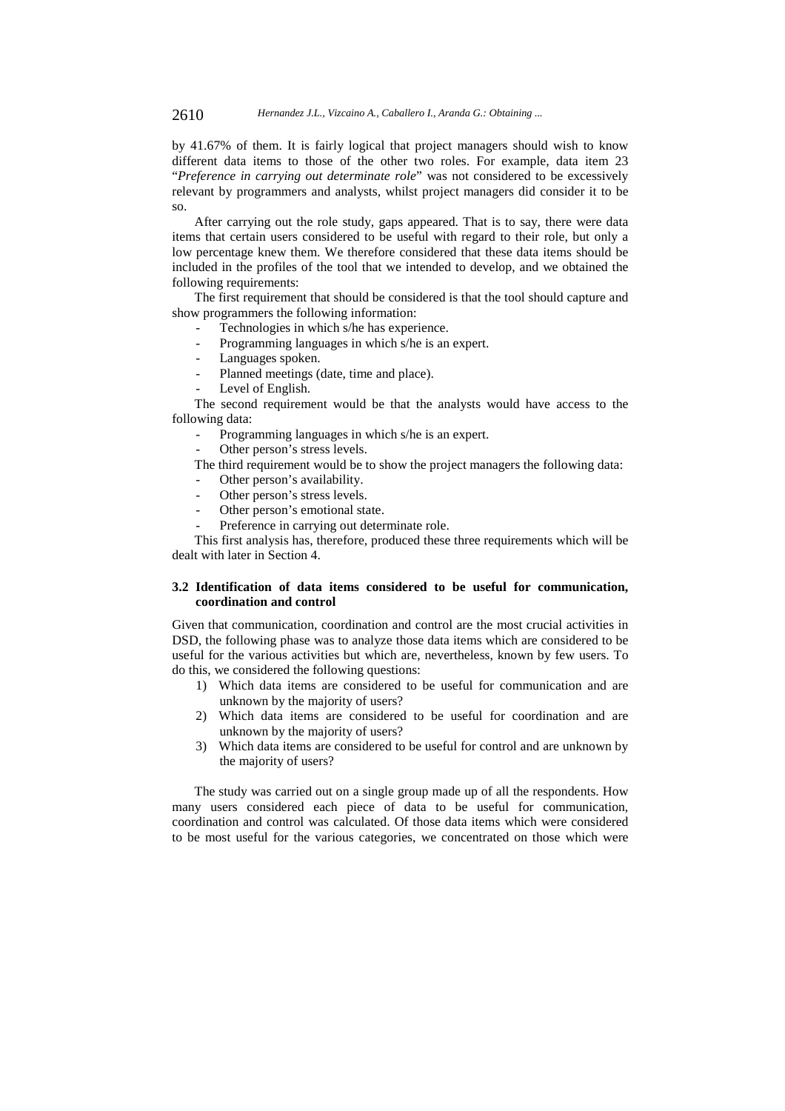by 41.67% of them. It is fairly logical that project managers should wish to know different data items to those of the other two roles. For example, data item 23 "*Preference in carrying out determinate role*" was not considered to be excessively relevant by programmers and analysts, whilst project managers did consider it to be so.

After carrying out the role study, gaps appeared. That is to say, there were data items that certain users considered to be useful with regard to their role, but only a low percentage knew them. We therefore considered that these data items should be included in the profiles of the tool that we intended to develop, and we obtained the following requirements:

The first requirement that should be considered is that the tool should capture and show programmers the following information:

- Technologies in which s/he has experience.
- Programming languages in which s/he is an expert.
- Languages spoken.
- Planned meetings (date, time and place).
- Level of English.

The second requirement would be that the analysts would have access to the following data:

- Programming languages in which s/he is an expert.
- Other person's stress levels.

The third requirement would be to show the project managers the following data:

- Other person's availability.
- Other person's stress levels.
- Other person's emotional state.
- Preference in carrying out determinate role.

This first analysis has, therefore, produced these three requirements which will be dealt with later in Section 4.

#### **3.2 Identification of data items considered to be useful for communication, coordination and control**

Given that communication, coordination and control are the most crucial activities in DSD, the following phase was to analyze those data items which are considered to be useful for the various activities but which are, nevertheless, known by few users. To do this, we considered the following questions:

- 1) Which data items are considered to be useful for communication and are unknown by the majority of users?
- 2) Which data items are considered to be useful for coordination and are unknown by the majority of users?
- 3) Which data items are considered to be useful for control and are unknown by the majority of users?

The study was carried out on a single group made up of all the respondents. How many users considered each piece of data to be useful for communication, coordination and control was calculated. Of those data items which were considered to be most useful for the various categories, we concentrated on those which were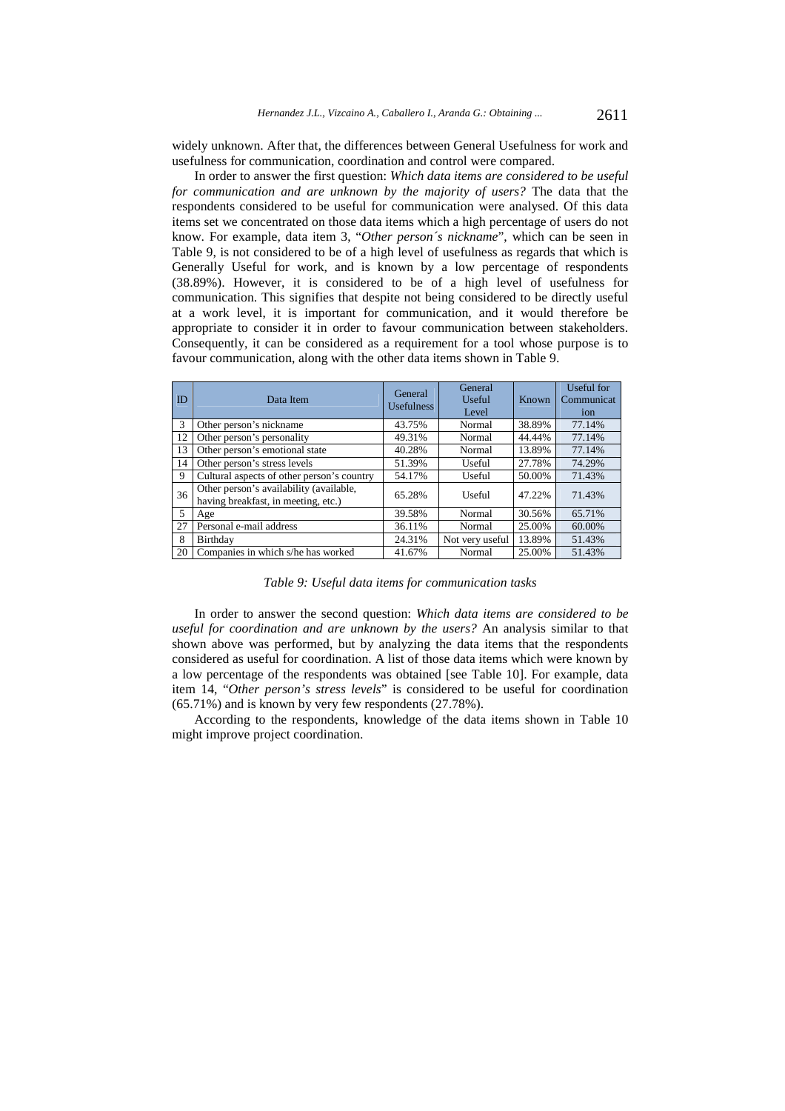widely unknown. After that, the differences between General Usefulness for work and usefulness for communication, coordination and control were compared.

In order to answer the first question: *Which data items are considered to be useful for communication and are unknown by the majority of users?* The data that the respondents considered to be useful for communication were analysed. Of this data items set we concentrated on those data items which a high percentage of users do not know. For example, data item 3, "*Other person´s nickname*", which can be seen in Table 9, is not considered to be of a high level of usefulness as regards that which is Generally Useful for work, and is known by a low percentage of respondents (38.89%). However, it is considered to be of a high level of usefulness for communication. This signifies that despite not being considered to be directly useful at a work level, it is important for communication, and it would therefore be appropriate to consider it in order to favour communication between stakeholders. Consequently, it can be considered as a requirement for a tool whose purpose is to favour communication, along with the other data items shown in Table 9.

| ID             | Data Item                                                                      | General<br><b>Usefulness</b> | General<br>Useful<br>Level | Known  | Useful for<br>Communicat<br>ion |
|----------------|--------------------------------------------------------------------------------|------------------------------|----------------------------|--------|---------------------------------|
| $\mathcal{R}$  | Other person's nickname                                                        | 43.75%                       | Normal                     | 38.89% | 77.14%                          |
| 12             | Other person's personality                                                     | 49.31%                       | Normal                     | 44.44% | 77.14%                          |
| 13             | Other person's emotional state                                                 | 40.28%                       | Normal                     | 13.89% | 77.14%                          |
| 14             | Other person's stress levels                                                   | 51.39%                       | Useful                     | 27.78% | 74.29%                          |
| 9              | Cultural aspects of other person's country                                     | 54.17%                       | Useful                     | 50.00% | 71.43%                          |
| 36             | Other person's availability (available,<br>having breakfast, in meeting, etc.) | 65.28%                       | Useful                     | 47.22% | 71.43%                          |
| $\mathfrak{F}$ | Age                                                                            | 39.58%                       | Normal                     | 30.56% | 65.71%                          |
| 27             | Personal e-mail address                                                        | 36.11%                       | Normal                     | 25.00% | 60.00%                          |
| 8              | Birthday                                                                       | 24.31%                       | Not very useful            | 13.89% | 51.43%                          |
| 20             | Companies in which s/he has worked                                             | 41.67%                       | Normal                     | 25.00% | 51.43%                          |

*Table 9: Useful data items for communication tasks* 

In order to answer the second question: *Which data items are considered to be useful for coordination and are unknown by the users?* An analysis similar to that shown above was performed, but by analyzing the data items that the respondents considered as useful for coordination. A list of those data items which were known by a low percentage of the respondents was obtained [see Table 10]. For example, data item 14, "*Other person's stress levels*" is considered to be useful for coordination (65.71%) and is known by very few respondents (27.78%).

According to the respondents, knowledge of the data items shown in Table 10 might improve project coordination.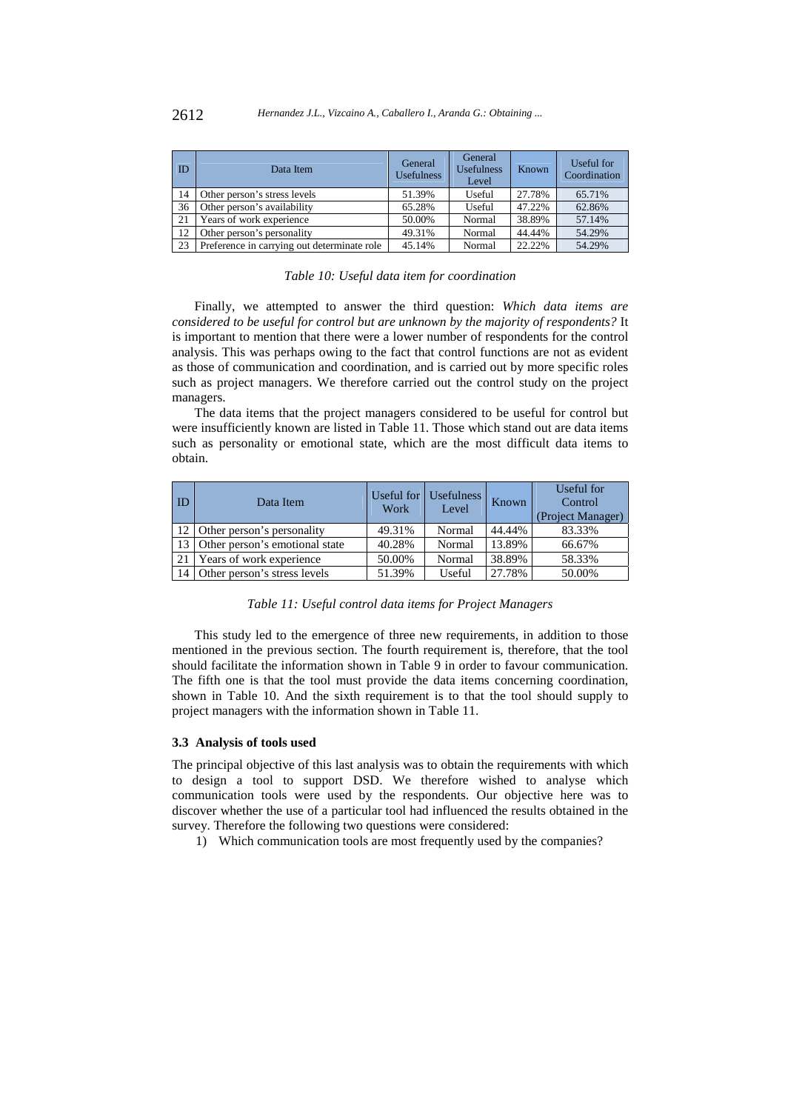| ID | Data Item                                   | General<br><b>Usefulness</b> | General<br><b>Usefulness</b><br>Level | Known  | Useful for<br>Coordination |
|----|---------------------------------------------|------------------------------|---------------------------------------|--------|----------------------------|
| 14 | Other person's stress levels                | 51.39%                       | Useful                                | 27.78% | 65.71%                     |
| 36 | Other person's availability                 | 65.28%                       | Useful                                | 47.22% | 62.86%                     |
| 21 | Years of work experience                    | 50.00%                       | Normal                                | 38.89% | 57.14%                     |
| 12 | Other person's personality                  | 49.31%                       | Normal                                | 44.44% | 54.29%                     |
| 23 | Preference in carrying out determinate role | 45.14%                       | Normal                                | 22.22% | 54.29%                     |

|  |  |  | Table 10: Useful data item for coordination |
|--|--|--|---------------------------------------------|
|  |  |  |                                             |

Finally, we attempted to answer the third question: *Which data items are considered to be useful for control but are unknown by the majority of respondents?* It is important to mention that there were a lower number of respondents for the control analysis. This was perhaps owing to the fact that control functions are not as evident as those of communication and coordination, and is carried out by more specific roles such as project managers. We therefore carried out the control study on the project managers.

The data items that the project managers considered to be useful for control but were insufficiently known are listed in Table 11. Those which stand out are data items such as personality or emotional state, which are the most difficult data items to obtain.

| ID | Data Item                      | Useful for<br>Work | <b>Usefulness</b><br>Level | Known  | Useful for<br>Control<br>(Project Manager) |
|----|--------------------------------|--------------------|----------------------------|--------|--------------------------------------------|
| 12 | Other person's personality     | 49.31%             | Normal                     | 44.44% | 83.33%                                     |
| 13 | Other person's emotional state | 40.28%             | Normal                     | 13.89% | 66.67%                                     |
| 21 | Years of work experience       | 50.00%             | Normal                     | 38.89% | 58.33%                                     |
| 14 | Other person's stress levels   | 51.39%             | Useful                     | 27.78% | 50.00%                                     |

#### *Table 11: Useful control data items for Project Managers*

This study led to the emergence of three new requirements, in addition to those mentioned in the previous section. The fourth requirement is, therefore, that the tool should facilitate the information shown in Table 9 in order to favour communication. The fifth one is that the tool must provide the data items concerning coordination, shown in Table 10. And the sixth requirement is to that the tool should supply to project managers with the information shown in Table 11.

#### **3.3 Analysis of tools used**

The principal objective of this last analysis was to obtain the requirements with which to design a tool to support DSD. We therefore wished to analyse which communication tools were used by the respondents. Our objective here was to discover whether the use of a particular tool had influenced the results obtained in the survey. Therefore the following two questions were considered:

1) Which communication tools are most frequently used by the companies?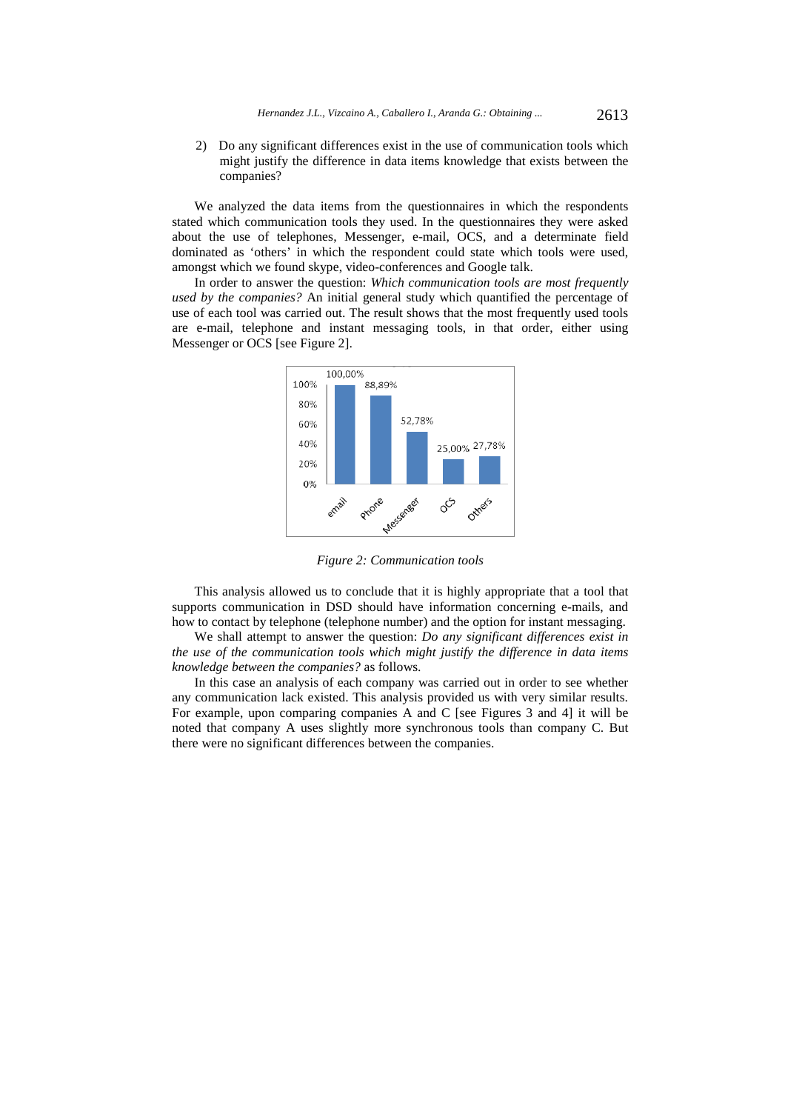2) Do any significant differences exist in the use of communication tools which might justify the difference in data items knowledge that exists between the companies?

We analyzed the data items from the questionnaires in which the respondents stated which communication tools they used. In the questionnaires they were asked about the use of telephones, Messenger, e-mail, OCS, and a determinate field dominated as 'others' in which the respondent could state which tools were used, amongst which we found skype, video-conferences and Google talk.

In order to answer the question: *Which communication tools are most frequently used by the companies?* An initial general study which quantified the percentage of use of each tool was carried out. The result shows that the most frequently used tools are e-mail, telephone and instant messaging tools, in that order, either using Messenger or OCS [see Figure 2].



*Figure 2: Communication tools* 

This analysis allowed us to conclude that it is highly appropriate that a tool that supports communication in DSD should have information concerning e-mails, and how to contact by telephone (telephone number) and the option for instant messaging.

We shall attempt to answer the question: *Do any significant differences exist in the use of the communication tools which might justify the difference in data items knowledge between the companies?* as follows.

In this case an analysis of each company was carried out in order to see whether any communication lack existed. This analysis provided us with very similar results. For example, upon comparing companies A and C [see Figures 3 and 4] it will be noted that company A uses slightly more synchronous tools than company C. But there were no significant differences between the companies.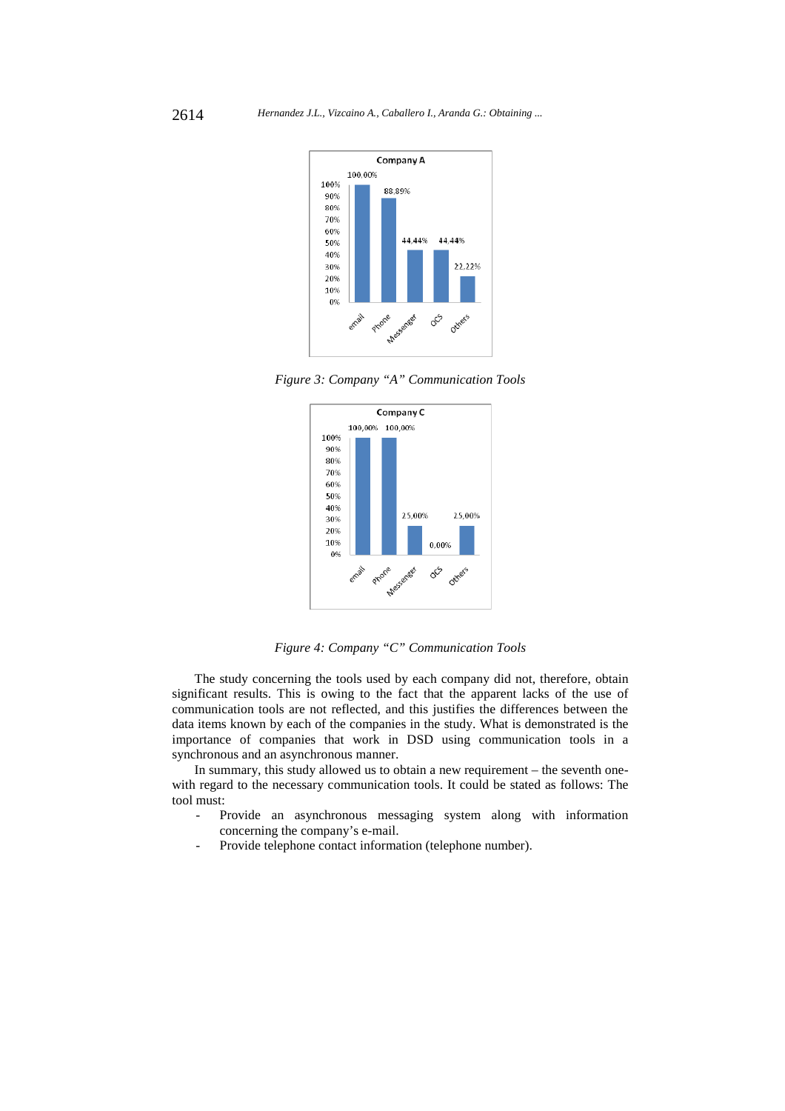

*Figure 3: Company "A" Communication Tools* 



*Figure 4: Company "C" Communication Tools*

The study concerning the tools used by each company did not, therefore, obtain significant results. This is owing to the fact that the apparent lacks of the use of communication tools are not reflected, and this justifies the differences between the data items known by each of the companies in the study. What is demonstrated is the importance of companies that work in DSD using communication tools in a synchronous and an asynchronous manner.

In summary, this study allowed us to obtain a new requirement – the seventh onewith regard to the necessary communication tools. It could be stated as follows: The tool must:

- Provide an asynchronous messaging system along with information concerning the company's e-mail.
- Provide telephone contact information (telephone number).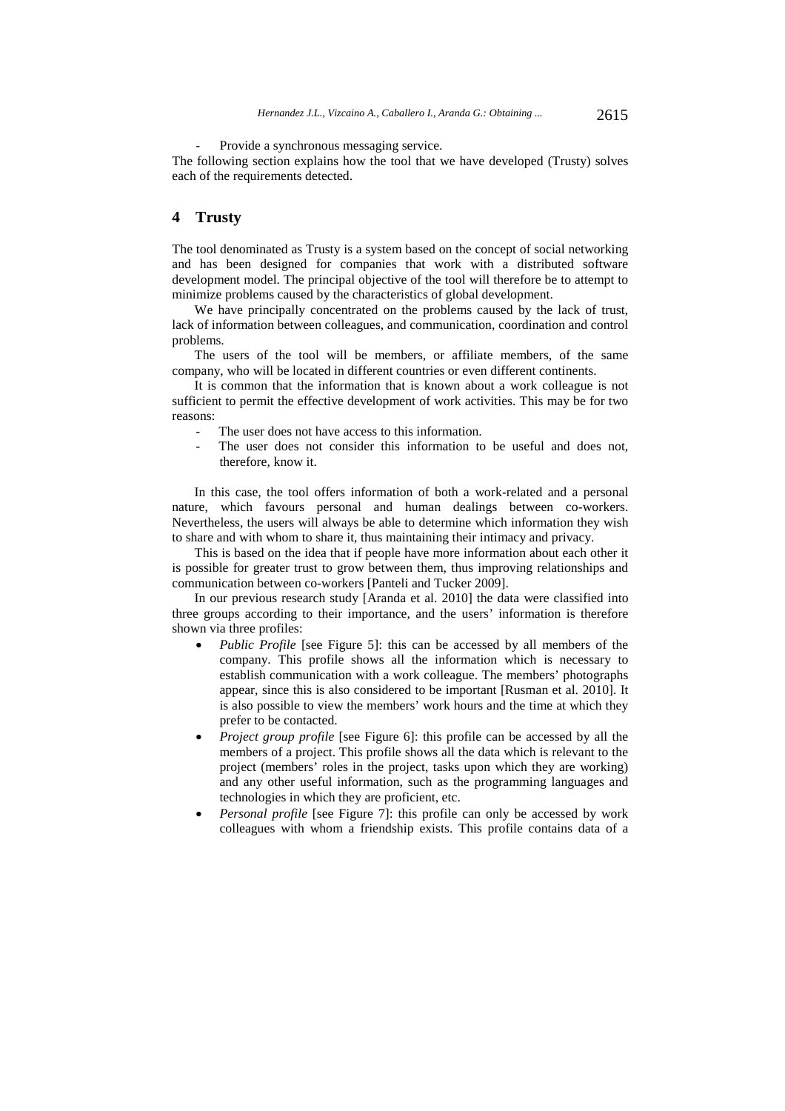Provide a synchronous messaging service.

The following section explains how the tool that we have developed (Trusty) solves each of the requirements detected.

# **4 Trusty**

The tool denominated as Trusty is a system based on the concept of social networking and has been designed for companies that work with a distributed software development model. The principal objective of the tool will therefore be to attempt to minimize problems caused by the characteristics of global development.

We have principally concentrated on the problems caused by the lack of trust, lack of information between colleagues, and communication, coordination and control problems.

The users of the tool will be members, or affiliate members, of the same company, who will be located in different countries or even different continents.

It is common that the information that is known about a work colleague is not sufficient to permit the effective development of work activities. This may be for two reasons:

- The user does not have access to this information.
- The user does not consider this information to be useful and does not, therefore, know it.

In this case, the tool offers information of both a work-related and a personal nature, which favours personal and human dealings between co-workers. Nevertheless, the users will always be able to determine which information they wish to share and with whom to share it, thus maintaining their intimacy and privacy.

This is based on the idea that if people have more information about each other it is possible for greater trust to grow between them, thus improving relationships and communication between co-workers [Panteli and Tucker 2009].

In our previous research study [Aranda et al. 2010] the data were classified into three groups according to their importance, and the users' information is therefore shown via three profiles:

- *Public Profile* [see Figure 5]: this can be accessed by all members of the company. This profile shows all the information which is necessary to establish communication with a work colleague. The members' photographs appear, since this is also considered to be important [Rusman et al. 2010]. It is also possible to view the members' work hours and the time at which they prefer to be contacted.
- *Project group profile* [see Figure 6]: this profile can be accessed by all the members of a project. This profile shows all the data which is relevant to the project (members' roles in the project, tasks upon which they are working) and any other useful information, such as the programming languages and technologies in which they are proficient, etc.
- *Personal profile* [see Figure 7]: this profile can only be accessed by work colleagues with whom a friendship exists. This profile contains data of a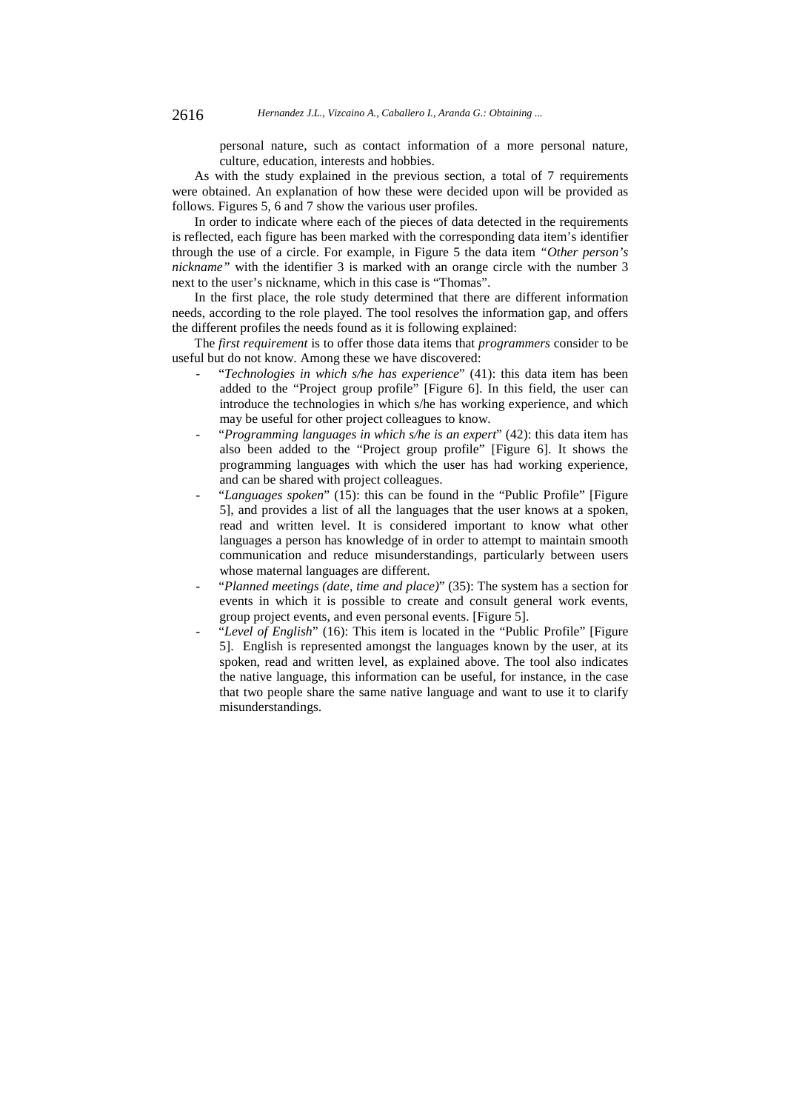personal nature, such as contact information of a more personal nature, culture, education, interests and hobbies.

As with the study explained in the previous section, a total of 7 requirements were obtained. An explanation of how these were decided upon will be provided as follows. Figures 5, 6 and 7 show the various user profiles.

In order to indicate where each of the pieces of data detected in the requirements is reflected, each figure has been marked with the corresponding data item's identifier through the use of a circle. For example, in Figure 5 the data item *"Other person's nickname"* with the identifier 3 is marked with an orange circle with the number 3 next to the user's nickname, which in this case is "Thomas".

In the first place, the role study determined that there are different information needs, according to the role played. The tool resolves the information gap, and offers the different profiles the needs found as it is following explained:

The *first requirement* is to offer those data items that *programmers* consider to be useful but do not know. Among these we have discovered:

- "*Technologies in which s/he has experience*" (41): this data item has been added to the "Project group profile" [Figure 6]. In this field, the user can introduce the technologies in which s/he has working experience, and which may be useful for other project colleagues to know.
- "*Programming languages in which s/he is an expert*" (42): this data item has also been added to the "Project group profile" [Figure 6]. It shows the programming languages with which the user has had working experience, and can be shared with project colleagues.
- "*Languages spoken*" (15): this can be found in the "Public Profile" [Figure 5], and provides a list of all the languages that the user knows at a spoken, read and written level. It is considered important to know what other languages a person has knowledge of in order to attempt to maintain smooth communication and reduce misunderstandings, particularly between users whose maternal languages are different.
- "Planned meetings (date, time and place)" (35): The system has a section for events in which it is possible to create and consult general work events, group project events, and even personal events. [Figure 5].
- "*Level of English*" (16): This item is located in the "Public Profile" [Figure 5]. English is represented amongst the languages known by the user, at its spoken, read and written level, as explained above. The tool also indicates the native language, this information can be useful, for instance, in the case that two people share the same native language and want to use it to clarify misunderstandings.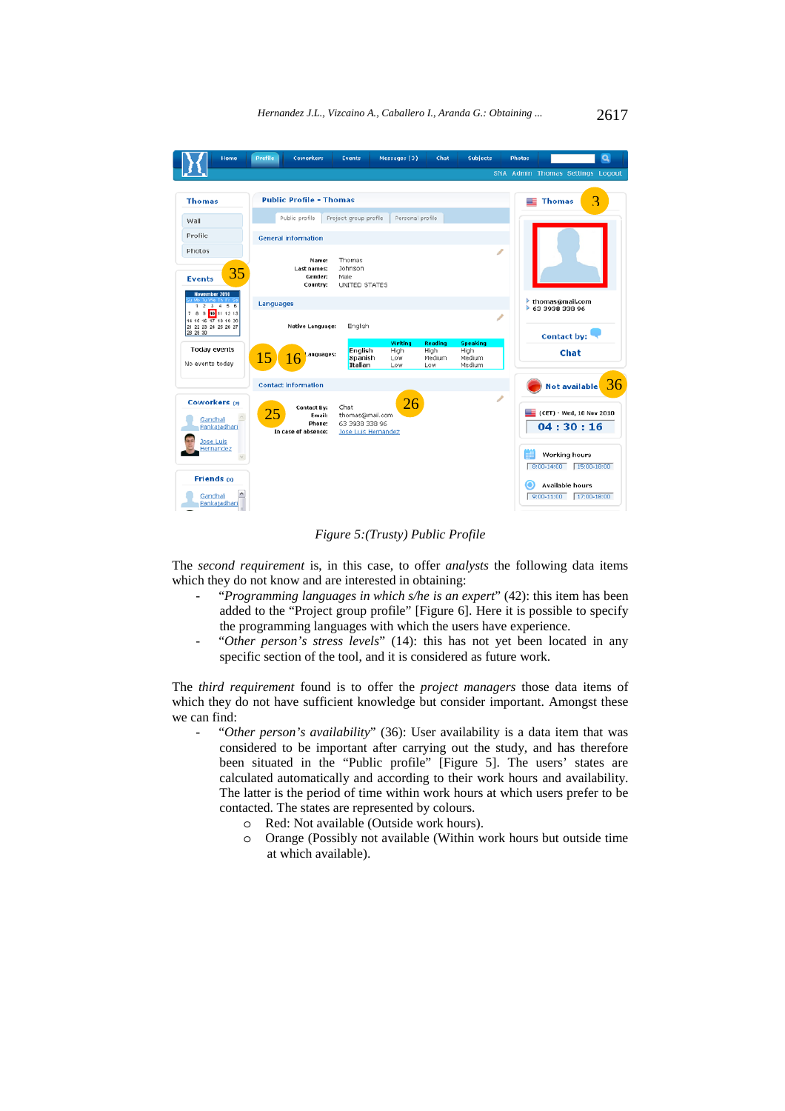

*Figure 5:(Trusty) Public Profile* 

The *second requirement* is, in this case, to offer *analysts* the following data items which they do not know and are interested in obtaining:

- "*Programming languages in which s/he is an expert*" (42): this item has been added to the "Project group profile" [Figure 6]. Here it is possible to specify the programming languages with which the users have experience.
- "Other person's stress levels" (14): this has not yet been located in any specific section of the tool, and it is considered as future work.

The *third requirement* found is to offer the *project managers* those data items of which they do not have sufficient knowledge but consider important. Amongst these we can find:

- "Other person's availability" (36): User availability is a data item that was considered to be important after carrying out the study, and has therefore been situated in the "Public profile" [Figure 5]. The users' states are calculated automatically and according to their work hours and availability. The latter is the period of time within work hours at which users prefer to be contacted. The states are represented by colours.
	- o Red: Not available (Outside work hours).
	- o Orange (Possibly not available (Within work hours but outside time at which available).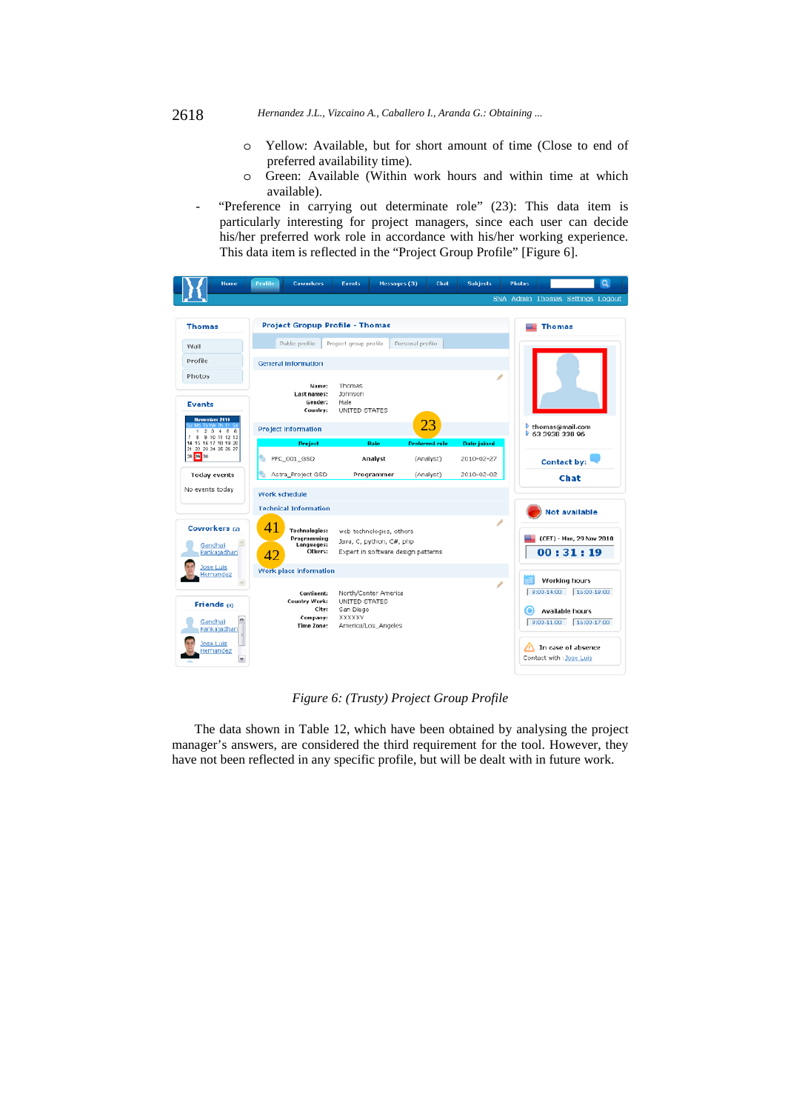- o Yellow: Available, but for short amount of time (Close to end of preferred availability time).
- o Green: Available (Within work hours and within time at which available).
- "Preference in carrying out determinate role" (23): This data item is particularly interesting for project managers, since each user can decide his/her preferred work role in accordance with his/her working experience. This data item is reflected in the "Project Group Profile" [Figure 6].

| Home                                                                   | <b>Coworkers</b><br><b>Profile</b>                                               | Messages (3)<br><b>Events</b>                                                              | Chat                  | <b>Subjects</b>    | Q<br><b>Photos</b>                                                                                                                                             |
|------------------------------------------------------------------------|----------------------------------------------------------------------------------|--------------------------------------------------------------------------------------------|-----------------------|--------------------|----------------------------------------------------------------------------------------------------------------------------------------------------------------|
|                                                                        |                                                                                  |                                                                                            |                       |                    | <b>SNA Admin Thomas Settings Logout</b>                                                                                                                        |
| <b>Thomas</b>                                                          | <b>Project Gropup Profile - Thomas</b>                                           | <b>Thomas</b>                                                                              |                       |                    |                                                                                                                                                                |
| Wall                                                                   | Public profile                                                                   | Project group profile                                                                      | Personal profile      |                    |                                                                                                                                                                |
| Profile                                                                | <b>General information</b>                                                       |                                                                                            |                       |                    |                                                                                                                                                                |
| Photos<br><b>Events</b><br><b>November 2010</b>                        | Name:<br>Last names:<br>Gender:<br>Country:                                      | Thomas<br>Johnson<br>Male<br>UNITED STATES                                                 |                       |                    |                                                                                                                                                                |
| 1 2 3 4 5 6                                                            | <b>Project information</b>                                                       |                                                                                            | 23                    |                    | thomas@mail.com<br>63 3938 338 96                                                                                                                              |
| 7 8 9 10 11 12 13<br>14 15 16 17 18 19 20<br>21 22 23 24 25 26 27      | <b>Project</b>                                                                   | Role                                                                                       | <b>Preferred role</b> | <b>Date joined</b> |                                                                                                                                                                |
| 28 29 30                                                               | G.<br>PFC_001_GSD                                                                | Analyst                                                                                    | (Analyst)             | 2010-02-27         | <b>Contact by:</b>                                                                                                                                             |
| <b>Today events</b>                                                    | Astra_Project GSD                                                                | Programmer                                                                                 | (Analyst)             | 2010-02-02         | Chat                                                                                                                                                           |
| No events today                                                        | Work schedule                                                                    |                                                                                            |                       |                    |                                                                                                                                                                |
|                                                                        | <b>Technical Information</b>                                                     |                                                                                            |                       |                    | <b>Not available</b>                                                                                                                                           |
| Coworkers (2)<br>Gandhali<br>Pankajadhari                              | $\Delta$ 1<br><b>Technologies:</b><br>Programming<br>Languages:<br>Others:<br>42 | web technologies, others<br>Java, C, python, C#, php<br>Expert in software design patterns |                       |                    | (CET) - Mon, 29 Nov 2010<br>00:31:19                                                                                                                           |
| ose Luis<br>Hernandez                                                  | <b>Work place information</b>                                                    |                                                                                            |                       |                    |                                                                                                                                                                |
| Friends (a)<br>Gandhali<br>Pankajadhari<br>lose Luis<br>Hernandez<br>v | Continent:<br>Country Work:<br>City:<br>Company:<br><b>Time Zone:</b>            | North/Center America<br>UNITED STATES<br>San Diego<br>XXXXXY<br>America/Los_Angeles        |                       |                    | Working hours<br>8:00-14:00 16:00-18:00<br><b>Available hours</b><br>O<br>$9:00 - 11:00$<br>16:00-17:00<br>In case of absence<br>Æ<br>Contact with : Jose Luis |

*Figure 6: (Trusty) Project Group Profile* 

The data shown in Table 12, which have been obtained by analysing the project manager's answers, are considered the third requirement for the tool. However, they have not been reflected in any specific profile, but will be dealt with in future work.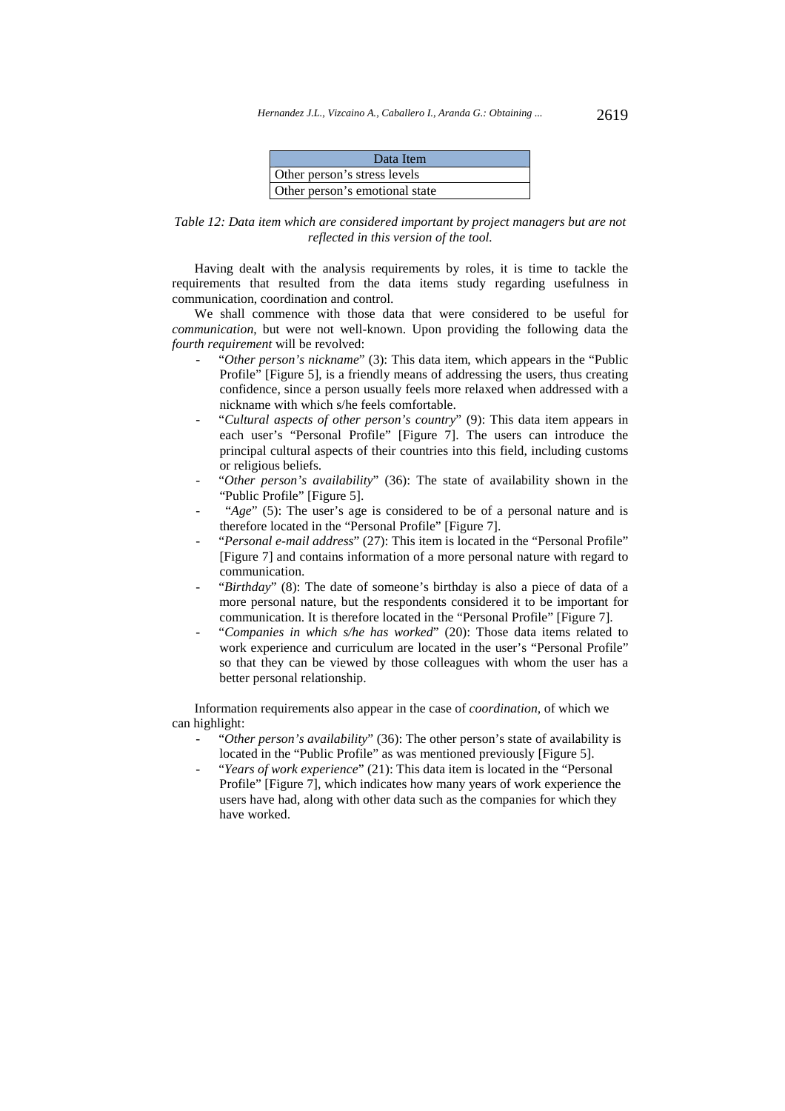| Data Item                      |  |
|--------------------------------|--|
| Other person's stress levels   |  |
| Other person's emotional state |  |

*Table 12: Data item which are considered important by project managers but are not reflected in this version of the tool.* 

Having dealt with the analysis requirements by roles, it is time to tackle the requirements that resulted from the data items study regarding usefulness in communication, coordination and control.

We shall commence with those data that were considered to be useful for *communication*, but were not well-known. Upon providing the following data the *fourth requirement* will be revolved:

- "Other person's nickname" (3): This data item, which appears in the "Public" Profile" [Figure 5], is a friendly means of addressing the users, thus creating confidence, since a person usually feels more relaxed when addressed with a nickname with which s/he feels comfortable.
- "*Cultural aspects of other person's country*" (9): This data item appears in each user's "Personal Profile" [Figure 7]. The users can introduce the principal cultural aspects of their countries into this field, including customs or religious beliefs.
- "Other person's availability" (36): The state of availability shown in the "Public Profile" [Figure 5].
- "*Age*" (5): The user's age is considered to be of a personal nature and is therefore located in the "Personal Profile" [Figure 7].
- "Personal e-mail address" (27): This item is located in the "Personal Profile" [Figure 7] and contains information of a more personal nature with regard to communication.
- "*Birthday*" (8): The date of someone's birthday is also a piece of data of a more personal nature, but the respondents considered it to be important for communication. It is therefore located in the "Personal Profile" [Figure 7].
- "*Companies in which s/he has worked*" (20): Those data items related to work experience and curriculum are located in the user's "Personal Profile" so that they can be viewed by those colleagues with whom the user has a better personal relationship.

Information requirements also appear in the case of *coordination,* of which we can highlight:

- "*Other person's availability*" (36): The other person's state of availability is located in the "Public Profile" as was mentioned previously [Figure 5].
- "*Years of work experience*" (21): This data item is located in the "Personal Profile" [Figure 7], which indicates how many years of work experience the users have had, along with other data such as the companies for which they have worked.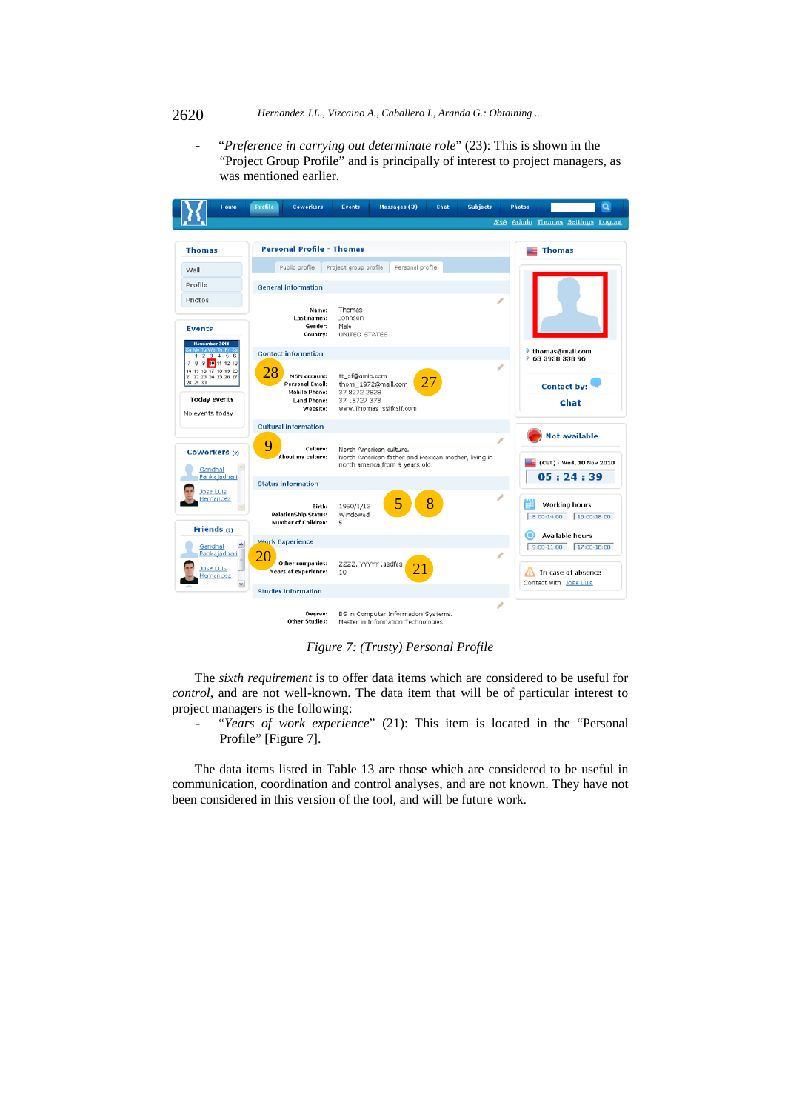#### 2620 *Hernandez J.L., Vizcaino A., Caballero I., Aranda G.: Obtaining ...*

"Preference in carrying out determinate role" (23): This is shown in the "Project Group Profile" and is principally of interest to project managers, as was mentioned earlier.



*Figure 7: (Trusty) Personal Profile* 

The *sixth requirement* is to offer data items which are considered to be useful for *control*, and are not well-known. The data item that will be of particular interest to project managers is the following:

"Years of work experience" (21): This item is located in the "Personal Profile" [Figure 7].

The data items listed in Table 13 are those which are considered to be useful in communication, coordination and control analyses, and are not known. They have not been considered in this version of the tool, and will be future work.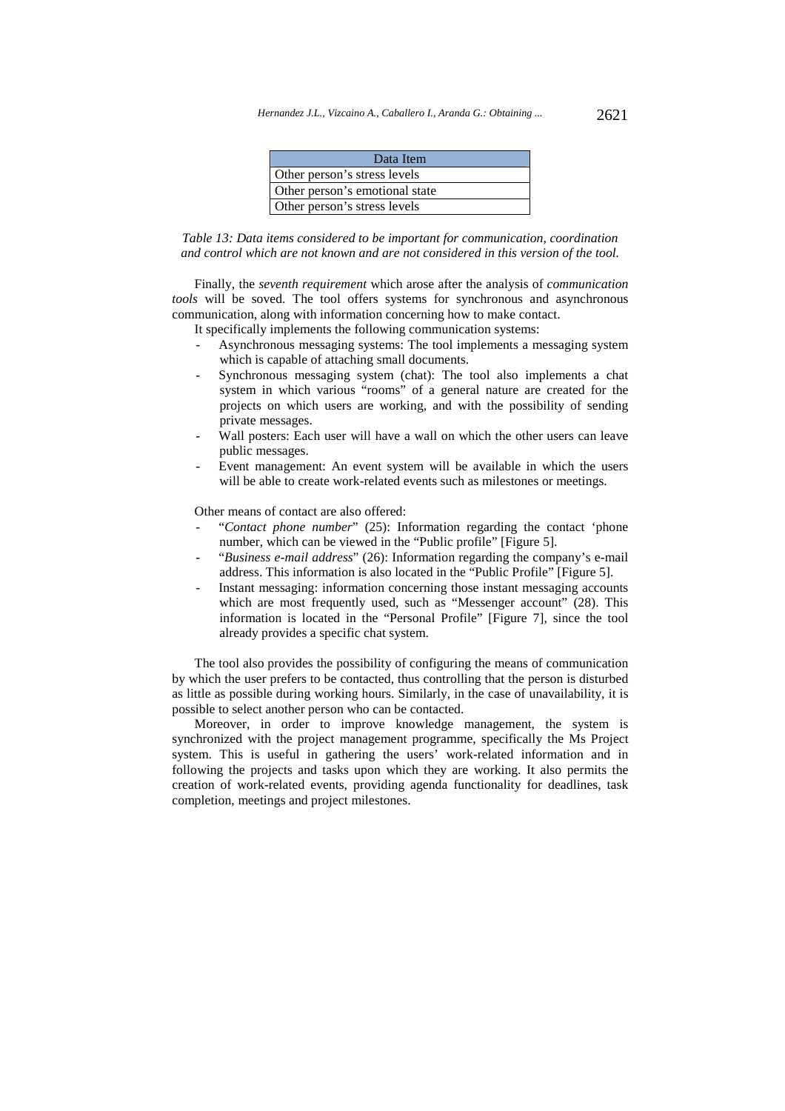| Data Item                      |  |
|--------------------------------|--|
| Other person's stress levels   |  |
| Other person's emotional state |  |
| Other person's stress levels   |  |



Finally, the *seventh requirement* which arose after the analysis of *communication tools* will be soved. The tool offers systems for synchronous and asynchronous communication, along with information concerning how to make contact.

It specifically implements the following communication systems:

- Asynchronous messaging systems: The tool implements a messaging system which is capable of attaching small documents.
- Synchronous messaging system (chat): The tool also implements a chat system in which various "rooms" of a general nature are created for the projects on which users are working, and with the possibility of sending private messages.
- Wall posters: Each user will have a wall on which the other users can leave public messages.
- Event management: An event system will be available in which the users will be able to create work-related events such as milestones or meetings.

Other means of contact are also offered:

- "*Contact phone number*" (25): Information regarding the contact 'phone number, which can be viewed in the "Public profile" [Figure 5].
- "*Business e-mail address*" (26): Information regarding the company's e-mail address. This information is also located in the "Public Profile" [Figure 5].
- Instant messaging: information concerning those instant messaging accounts which are most frequently used, such as "Messenger account" (28). This information is located in the "Personal Profile" [Figure 7], since the tool already provides a specific chat system.

The tool also provides the possibility of configuring the means of communication by which the user prefers to be contacted, thus controlling that the person is disturbed as little as possible during working hours. Similarly, in the case of unavailability, it is possible to select another person who can be contacted.

Moreover, in order to improve knowledge management, the system is synchronized with the project management programme, specifically the Ms Project system. This is useful in gathering the users' work-related information and in following the projects and tasks upon which they are working. It also permits the creation of work-related events, providing agenda functionality for deadlines, task completion, meetings and project milestones.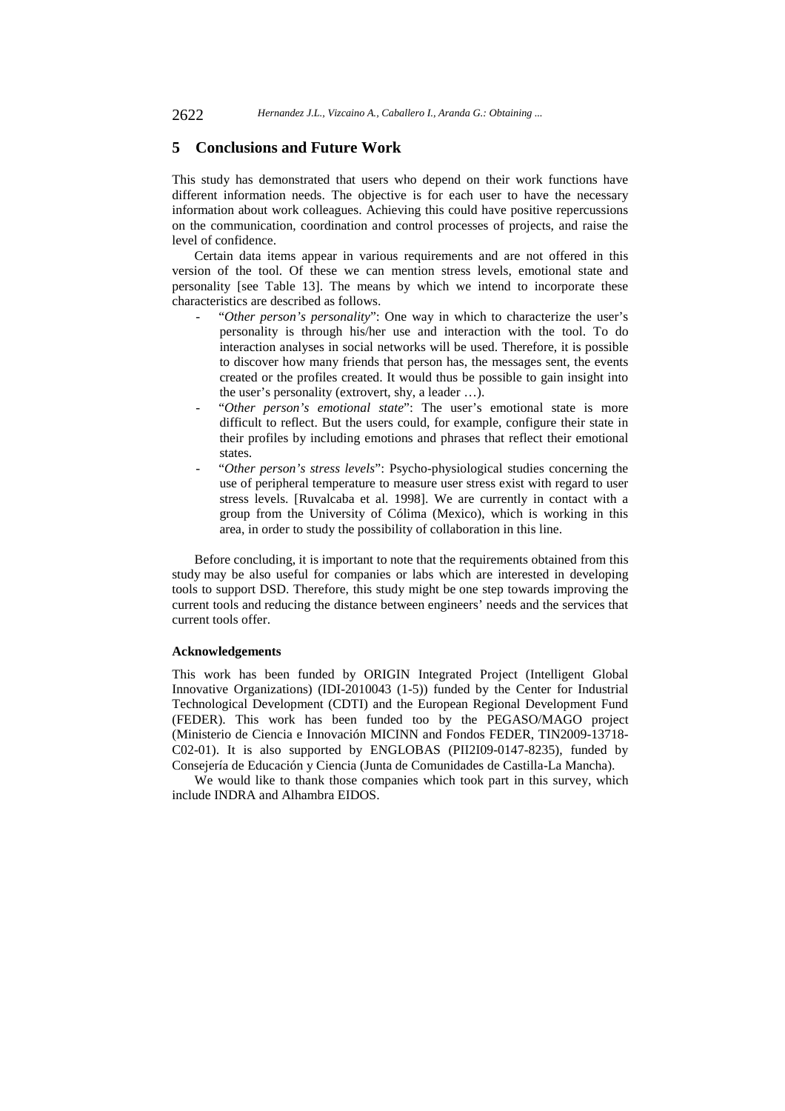### **5 Conclusions and Future Work**

This study has demonstrated that users who depend on their work functions have different information needs. The objective is for each user to have the necessary information about work colleagues. Achieving this could have positive repercussions on the communication, coordination and control processes of projects, and raise the level of confidence.

Certain data items appear in various requirements and are not offered in this version of the tool. Of these we can mention stress levels, emotional state and personality [see Table 13]. The means by which we intend to incorporate these characteristics are described as follows.

- "Other person's personality": One way in which to characterize the user's personality is through his/her use and interaction with the tool. To do interaction analyses in social networks will be used. Therefore, it is possible to discover how many friends that person has, the messages sent, the events created or the profiles created. It would thus be possible to gain insight into the user's personality (extrovert, shy, a leader …).
- "Other person's emotional state": The user's emotional state is more difficult to reflect. But the users could, for example, configure their state in their profiles by including emotions and phrases that reflect their emotional states.
- "*Other person's stress levels*": Psycho-physiological studies concerning the use of peripheral temperature to measure user stress exist with regard to user stress levels. [Ruvalcaba et al. 1998]. We are currently in contact with a group from the University of Cólima (Mexico), which is working in this area, in order to study the possibility of collaboration in this line.

Before concluding, it is important to note that the requirements obtained from this study may be also useful for companies or labs which are interested in developing tools to support DSD. Therefore, this study might be one step towards improving the current tools and reducing the distance between engineers' needs and the services that current tools offer.

#### **Acknowledgements**

This work has been funded by ORIGIN Integrated Project (Intelligent Global Innovative Organizations) (IDI-2010043 (1-5)) funded by the Center for Industrial Technological Development (CDTI) and the European Regional Development Fund (FEDER). This work has been funded too by the PEGASO/MAGO project (Ministerio de Ciencia e Innovación MICINN and Fondos FEDER, TIN2009-13718- C02-01). It is also supported by ENGLOBAS (PII2I09-0147-8235), funded by Consejería de Educación y Ciencia (Junta de Comunidades de Castilla-La Mancha).

We would like to thank those companies which took part in this survey, which include INDRA and Alhambra EIDOS.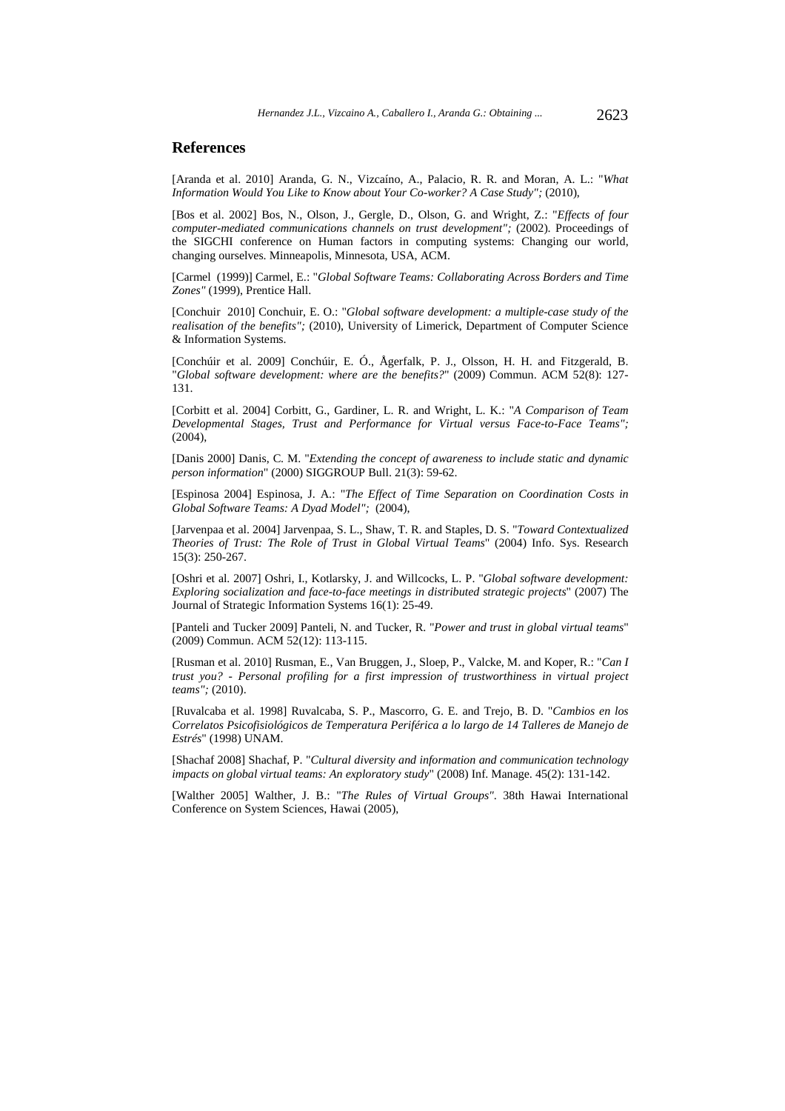### **References**

[Aranda et al. 2010] Aranda, G. N., Vizcaíno, A., Palacio, R. R. and Moran, A. L.: "*What Information Would You Like to Know about Your Co-worker? A Case Study";* (2010),

[Bos et al. 2002] Bos, N., Olson, J., Gergle, D., Olson, G. and Wright, Z.: "*Effects of four computer-mediated communications channels on trust development";* (2002). Proceedings of the SIGCHI conference on Human factors in computing systems: Changing our world, changing ourselves. Minneapolis, Minnesota, USA, ACM.

[Carmel (1999)] Carmel, E.: "*Global Software Teams: Collaborating Across Borders and Time Zones"* (1999), Prentice Hall.

[Conchuir 2010] Conchuir, E. O.: "*Global software development: a multiple-case study of the realisation of the benefits";* (2010), University of Limerick, Department of Computer Science & Information Systems.

[Conchúir et al. 2009] Conchúir, E. Ó., Ågerfalk, P. J., Olsson, H. H. and Fitzgerald, B. "*Global software development: where are the benefits?*" (2009) Commun. ACM 52(8): 127- 131.

[Corbitt et al. 2004] Corbitt, G., Gardiner, L. R. and Wright, L. K.: "*A Comparison of Team Developmental Stages, Trust and Performance for Virtual versus Face-to-Face Teams";* (2004),

[Danis 2000] Danis, C. M. "*Extending the concept of awareness to include static and dynamic person information*" (2000) SIGGROUP Bull. 21(3): 59-62.

[Espinosa 2004] Espinosa, J. A.: "*The Effect of Time Separation on Coordination Costs in Global Software Teams: A Dyad Model";* (2004),

[Jarvenpaa et al. 2004] Jarvenpaa, S. L., Shaw, T. R. and Staples, D. S. "*Toward Contextualized Theories of Trust: The Role of Trust in Global Virtual Teams*" (2004) Info. Sys. Research 15(3): 250-267.

[Oshri et al. 2007] Oshri, I., Kotlarsky, J. and Willcocks, L. P. "*Global software development: Exploring socialization and face-to-face meetings in distributed strategic projects*" (2007) The Journal of Strategic Information Systems 16(1): 25-49.

[Panteli and Tucker 2009] Panteli, N. and Tucker, R. "*Power and trust in global virtual teams*" (2009) Commun. ACM 52(12): 113-115.

[Rusman et al. 2010] Rusman, E., Van Bruggen, J., Sloep, P., Valcke, M. and Koper, R.: "*Can I trust you? - Personal profiling for a first impression of trustworthiness in virtual project teams";* (2010).

[Ruvalcaba et al. 1998] Ruvalcaba, S. P., Mascorro, G. E. and Trejo, B. D. "*Cambios en los Correlatos Psicofisiológicos de Temperatura Periférica a lo largo de 14 Talleres de Manejo de Estrés*" (1998) UNAM.

[Shachaf 2008] Shachaf, P. "*Cultural diversity and information and communication technology impacts on global virtual teams: An exploratory study*" (2008) Inf. Manage. 45(2): 131-142.

[Walther 2005] Walther, J. B.: "*The Rules of Virtual Groups"*. 38th Hawai International Conference on System Sciences, Hawai (2005),